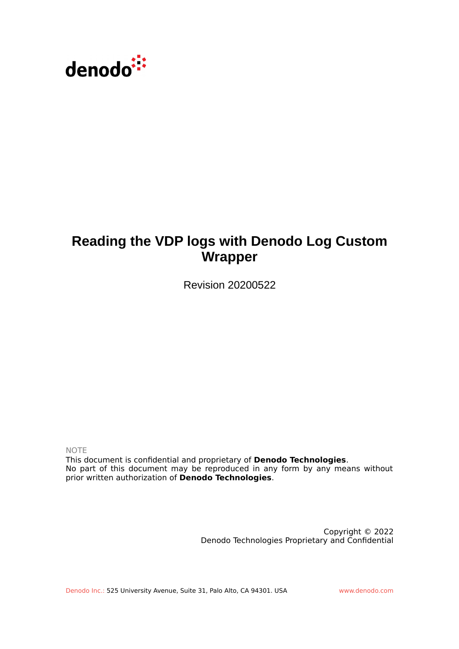

# **Reading the VDP logs with Denodo Log Custom Wrapper**

Revision 20200522

NOTE

This document is confidential and proprietary of **Denodo Technologies**. No part of this document may be reproduced in any form by any means without prior written authorization of **Denodo Technologies**.

> Copyright © 2022 Denodo Technologies Proprietary and Confidential

Denodo Inc.: 525 University Avenue, Suite 31, Palo Alto, CA 94301. USA www.denodo.com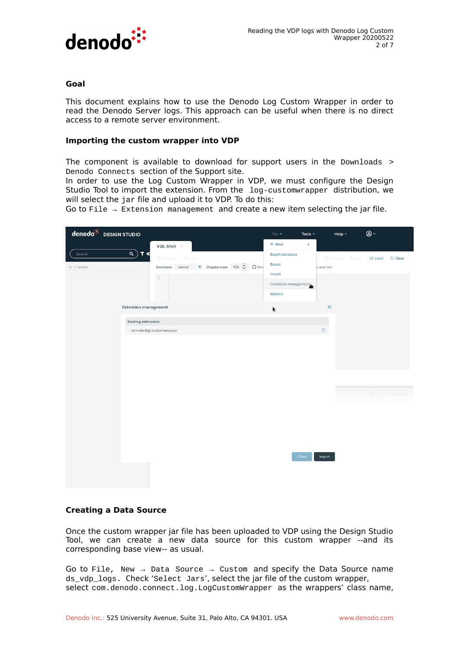

### **Goal**

This document explains how to use the Denodo Log Custom Wrapper in order to read the Denodo Server logs. This approach can be useful when there is no direct access to a remote server environment.

#### **Importing the custom wrapper into VDP**

The component is available to download for support users in the Downloads > Denodo Connects section of the Support site.

In order to use the Log Custom Wrapper in VDP, we must configure the Design Studio Tool to import the extension. From the log-customwrapper distribution, we will select the jar file and upload it to VDP. To do this:

Go to File  $\rightarrow$  Extension management and create a new item selecting the jar file.

| + New<br>Þ.<br>VQL Shell $\times$<br>$\alpha$ )<br>T C<br>Search<br>Export database<br><b><i>e</i></b> Previous<br>O Next<br><b>D</b> Execute<br>Stop <b>B Load</b> |                   |
|---------------------------------------------------------------------------------------------------------------------------------------------------------------------|-------------------|
|                                                                                                                                                                     |                   |
| Export<br>Display rows 150 $\boxed{\frac{\lambda}{\mathbf{v}}}$<br>$\Box$ Reti<br>admin<br>$+$ $\Box$ admin<br>Database<br>h new tab                                | Clear             |
| Import<br>$1\,$<br>Extension management                                                                                                                             |                   |
| Refresh                                                                                                                                                             |                   |
| $\boldsymbol{\mathsf{x}}$<br><b>Extension management</b><br>k                                                                                                       |                   |
| <b>Existing extensions</b>                                                                                                                                          |                   |
| $\Box$<br>denodo-log-customwrapper                                                                                                                                  |                   |
|                                                                                                                                                                     |                   |
|                                                                                                                                                                     |                   |
|                                                                                                                                                                     |                   |
|                                                                                                                                                                     |                   |
|                                                                                                                                                                     | Copy to Clipboard |
|                                                                                                                                                                     |                   |
|                                                                                                                                                                     |                   |
|                                                                                                                                                                     |                   |
|                                                                                                                                                                     |                   |
| Close<br>Import                                                                                                                                                     |                   |
|                                                                                                                                                                     |                   |
|                                                                                                                                                                     |                   |

# **Creating a Data Source**

Once the custom wrapper jar file has been uploaded to VDP using the Design Studio Tool, we can create a new data source for this custom wrapper --and its corresponding base view-- as usual.

Go to File, New  $\rightarrow$  Data Source  $\rightarrow$  Custom and specify the Data Source name ds\_vdp\_logs. Check 'Select Jars', select the jar file of the custom wrapper, select com.denodo.connect.log.LogCustomWrapper as the wrappers' class name,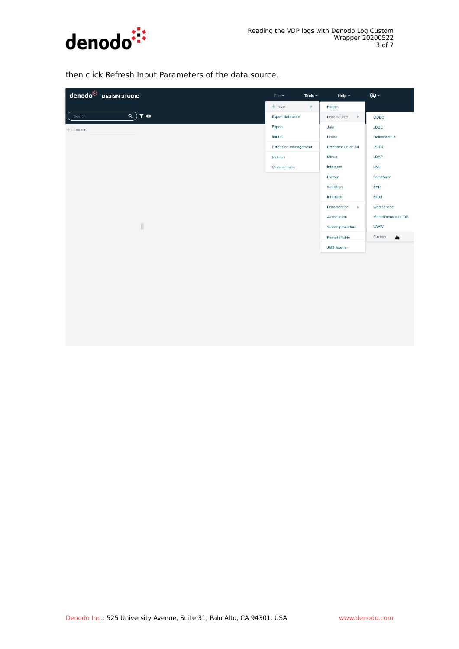

then click Refresh Input Parameters of the data source.

| denodo <sup>: :</sup> DESIGN STUDIO                    | File $\blacktriangledown$<br>Tools $\sim$ | Help $\star$                 | $\circledcirc$ -    |
|--------------------------------------------------------|-------------------------------------------|------------------------------|---------------------|
|                                                        | $+$ New<br>k.                             | Folder                       |                     |
| $\overline{Q}$ $\overline{Y}$ $\overline{Q}$<br>Search | <b>Export database</b>                    | Data source<br>Þ.            | ODBC                |
| $+$ $\blacksquare$ admin                               | Export                                    | Join                         | JDBC                |
|                                                        | Import                                    | Union                        | Delimited file      |
|                                                        | <b>Extension management</b>               | Extended union all           | <b>JSON</b>         |
|                                                        | Refresh                                   | Minus                        | LDAP                |
|                                                        | Close all tabs                            | Intersect                    | <b>XML</b>          |
|                                                        |                                           | Flatten                      | Salesforce          |
|                                                        |                                           | Selection                    | <b>BAPI</b>         |
|                                                        |                                           | Interface                    | Excel               |
|                                                        |                                           | Data service<br>$\mathbb{R}$ | Web service         |
|                                                        |                                           | Association                  | Multidimensional DB |
| $\begin{array}{c} \hline \end{array}$                  |                                           | Stored procedure             | <b>WWW</b>          |
|                                                        |                                           | Remote table                 | روان<br>Custom      |
|                                                        |                                           | <b>JMS</b> listener          |                     |
|                                                        |                                           |                              |                     |
|                                                        |                                           |                              |                     |
|                                                        |                                           |                              |                     |
|                                                        |                                           |                              |                     |
|                                                        |                                           |                              |                     |
|                                                        |                                           |                              |                     |
|                                                        |                                           |                              |                     |
|                                                        |                                           |                              |                     |
|                                                        |                                           |                              |                     |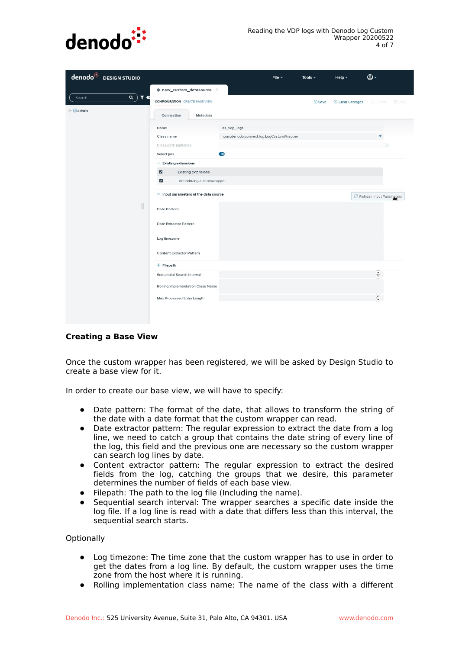

|                          | denodo <sup>::</sup> DESIGN STUDIO    |                                                     |                                         | File $\sim$ | Tools $\sim$  | Help $\star$             | $@$ +                                             |
|--------------------------|---------------------------------------|-----------------------------------------------------|-----------------------------------------|-------------|---------------|--------------------------|---------------------------------------------------|
|                          |                                       | * new_custom_datasource X                           |                                         |             |               |                          |                                                   |
| Search                   | $\alpha$ )<br>T <sub>c</sub>          | <b>CONFIGURATION CREATE BASE VIEW</b>               |                                         |             | <b>B</b> Save |                          | <b>8 Clear Changes B</b> - Export <b>iii</b> Drop |
| $+$ $\blacksquare$ admin |                                       | Connection<br>Metadata                              |                                         |             |               |                          |                                                   |
|                          |                                       | Name                                                | ds_vdp_logs                             |             |               |                          |                                                   |
|                          |                                       | Class name                                          | com.denodo.connect.log.LogCustomWrapper |             |               |                          | $\blacktriangledown$                              |
|                          |                                       | Class path (optional)                               |                                         |             |               |                          | $\Box$                                            |
|                          |                                       | Select jars                                         | $\bullet$                               |             |               |                          |                                                   |
|                          |                                       | - Existing extensions                               |                                         |             |               |                          |                                                   |
|                          |                                       | $\blacksquare$<br><b>Existing extensions</b>        |                                         |             |               |                          |                                                   |
|                          |                                       | $\overline{\mathsf{v}}$<br>denodo-log-customwrapper |                                         |             |               |                          |                                                   |
| II                       | - Input parameters of the data source |                                                     |                                         |             |               | Refresh Input Parameters |                                                   |
|                          |                                       | Date Pattern                                        |                                         |             |               |                          |                                                   |
|                          |                                       | Date Extractor Pattern                              |                                         |             |               |                          |                                                   |
|                          |                                       | Log timezone                                        |                                         |             |               |                          |                                                   |
|                          | <b>Content Extractor Pattern</b>      |                                                     |                                         |             |               |                          |                                                   |
|                          | $+$ Filepath                          |                                                     |                                         |             |               |                          |                                                   |
|                          |                                       | Sequential Search Interval                          |                                         |             |               |                          | $\odot$                                           |
|                          |                                       | Rolling Implementation Class Name                   |                                         |             |               |                          |                                                   |
|                          |                                       | Max Processed Entry Length                          |                                         |             |               |                          | $\frac{1}{2}$                                     |
|                          |                                       |                                                     |                                         |             |               |                          |                                                   |

# **Creating a Base View**

Once the custom wrapper has been registered, we will be asked by Design Studio to create a base view for it.

In order to create our base view, we will have to specify:

- Date pattern: The format of the date, that allows to transform the string of the date with a date format that the custom wrapper can read.
- Date extractor pattern: The regular expression to extract the date from a log line, we need to catch a group that contains the date string of every line of the log, this field and the previous one are necessary so the custom wrapper can search log lines by date.
- Content extractor pattern: The regular expression to extract the desired fields from the log, catching the groups that we desire, this parameter determines the number of fields of each base view.
- Filepath: The path to the log file (Including the name).
- Sequential search interval: The wrapper searches a specific date inside the log file. If a log line is read with a date that differs less than this interval, the sequential search starts.

**Optionally** 

- Log timezone: The time zone that the custom wrapper has to use in order to get the dates from a log line. By default, the custom wrapper uses the time zone from the host where it is running.
- Rolling implementation class name: The name of the class with a different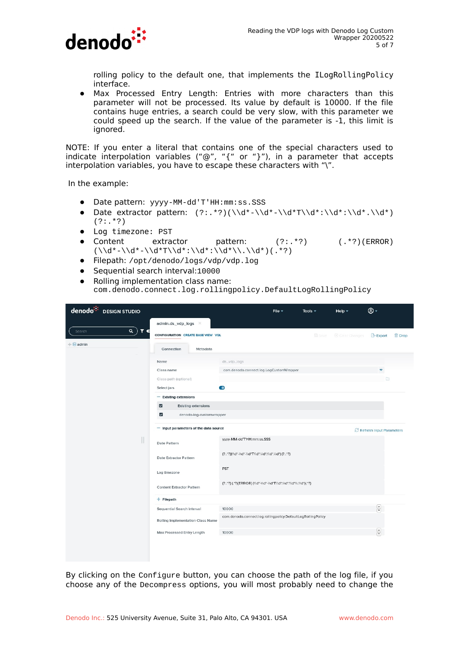

rolling policy to the default one, that implements the ILogRollingPolicy interface.

● Max Processed Entry Length: Entries with more characters than this parameter will not be processed. Its value by default is 10000. If the file contains huge entries, a search could be very slow, with this parameter we could speed up the search. If the value of the parameter is -1, this limit is ignored.

NOTE: If you enter a literal that contains one of the special characters used to indicate interpolation variables ("@", "{" or "}"), in a parameter that accepts interpolation variables, you have to escape these characters with "\".

In the example:

- Date pattern: yyyy-MM-dd'T'HH:mm:ss.SSS
- Date extractor pattern:  $(2:.^*2)(\d+1)\ddot*-\d+1)$  $(?:.*?)$
- Log timezone: PST
- Content extractor pattern: (?:. \*?) (. \*?)(ERROR) (\\d\*-\\d\*-\\d\*T\\d\*:\\d\*:\\d\*\\.\\d\*)(.\*?)
- Filepath: /opt/denodo/logs/vdp/vdp.log
- Sequential search interval:10000
- Rolling implementation class name: com.denodo.connect.log.rollingpolicy.DefaultLogRollingPolicy

| denodo <sup>:</sup><br><b>DESIGN STUDIO</b> |                                                       | File $\sim$                                                           | Tools $\sim$  | Help $\overline{\phantom{a}}$ | @ -                      |               |
|---------------------------------------------|-------------------------------------------------------|-----------------------------------------------------------------------|---------------|-------------------------------|--------------------------|---------------|
|                                             | admin.ds_vdp_logs ×                                   |                                                                       |               |                               |                          |               |
| $\alpha$<br>T €<br>Search                   | <b>CONFIGURATION CREATE BASE VIEW VOL</b>             |                                                                       | <b>B</b> Save | 8 Clear Changes               | <b>Export</b>            | <b>自</b> Drop |
| $+$ admin                                   | Connection<br>Metadata                                |                                                                       |               |                               |                          |               |
|                                             | Name                                                  | ds_vdp_logs                                                           |               |                               |                          |               |
|                                             | Class name                                            | com.denodo.connect.log.LogCustomWrapper                               |               |                               | $\blacktriangledown$     |               |
|                                             | Class path (optional)                                 |                                                                       |               |                               | $\Box$                   |               |
|                                             | Select jars                                           | $\bullet$                                                             |               |                               |                          |               |
|                                             | - Existing extensions                                 |                                                                       |               |                               |                          |               |
|                                             | $\overline{\mathbf{z}}$<br><b>Existing extensions</b> |                                                                       |               |                               |                          |               |
|                                             | $\overline{\mathsf{S}}$<br>denodo-log-customwrapper   |                                                                       |               |                               |                          |               |
|                                             | - Input parameters of the data source                 |                                                                       |               |                               | Refresh Input Parameters |               |
| $\mathbb{I}$                                | Date Pattern                                          | yyyy-MM-dd'T'HH:mm:ss.SSS                                             |               |                               |                          |               |
|                                             | Date Extractor Pattern                                | (?:.*?)(\\d*-\\d*-\\d*T\\d*:\\d*:\\d*.\\d*) (?:.*?)                   |               |                               |                          |               |
|                                             | Log timezone                                          | PST                                                                   |               |                               |                          |               |
|                                             | <b>Content Extractor Pattern</b>                      | (?:.*?) (.*?)(ERROR) (\\d*-\\d*-\\d*T\\d*:\\d*:\\d*\\\d*\\.\\d*)(.*?) |               |                               |                          |               |
|                                             | $+$ Filepath                                          |                                                                       |               |                               |                          |               |
|                                             | Sequential Search Interval                            | 10000                                                                 |               |                               | $\overline{\mathbf{S}}$  |               |
|                                             | Rolling Implementation Class Name                     | com.denodo.connect.log.rollingpolicy.DefaultLogRollingPolicy          |               |                               |                          |               |
|                                             | Max Processed Entry Length                            | 10000                                                                 |               |                               | $\boxed{\frac{2}{3}}$    |               |

By clicking on the Configure button, you can choose the path of the log file, if you choose any of the Decompress options, you will most probably need to change the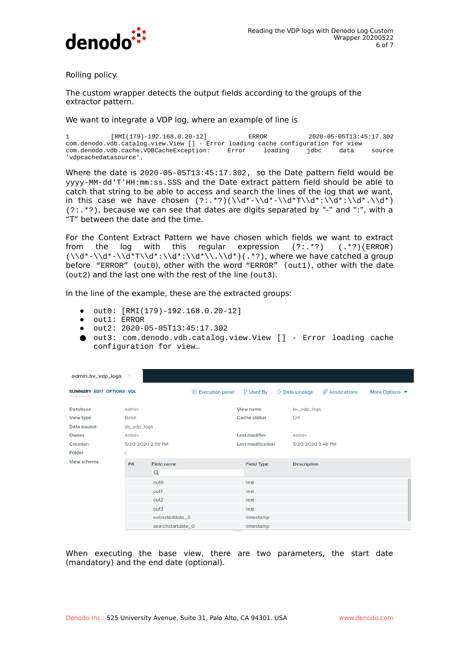

Rolling policy.

The custom wrapper detects the output fields according to the groups of the extractor pattern.

We want to integrate a VDP log, where an example of line is

1 [RMI(179)-192.168.0.20-12] ERROR 2020-05-05T13:45:17.302 com.denodo.vdb.catalog.view.View [] - Error loading cache configuration for view com.denodo.vdb.cache.VDBCacheException: Error loading jdbc data source 'vdpcachedatasource'.

Where the date is 2020-05-05T13:45:17.302, so the Date pattern field would be yyyy-MM-dd'T'HH:mm:ss.SSS and the Date extract pattern field should be able to catch that string to be able to access and search the lines of the log that we want, in this case we have chosen  $(2:.^{2})$  $(\lambda^2-\lambda^2-\lambda^2-\lambda^2)/d^*$  $(?:.*?)$ , because we can see that dates are digits separated by "-" and ":", with a "T" between the date and the time.

For the Content Extract Pattern we have chosen which fields we want to extract from the log with this regular expression (?:.\*?) (.\*?)(ERROR)  $(\lambda d^* - \lambda d^* - \lambda d^*T)\d^*:\lambda d^*:\lambda d^*\lambda \ldots d^*)$ , where we have catched a group before "ERROR" (out0), other with the word "ERROR" (out1), other with the date (out2) and the last one with the rest of the line (out3).

In the line of the example, these are the extracted groups:

- out0: [RMI(179)-192.168.0.20-12]
- out1: ERROR
- out2: 2020-05-05T13:45:17.302
- out3: com.denodo.vdb.catalog.view.View [] Error loading cache configuration for view…

| admin.bv_vdp_logs               | ×                 |                   |                 |                   |  |                       |                            |                                    |
|---------------------------------|-------------------|-------------------|-----------------|-------------------|--|-----------------------|----------------------------|------------------------------------|
| <b>SUMMARY EDIT OPTIONS VOL</b> |                   |                   | Execution panel | <b>P</b> Used By  |  | <b>↓</b> Data Lineage | $\mathcal{O}$ Associations | More Options $\blacktriangleright$ |
| Database                        | admin             |                   |                 | View name         |  | bv_vdp_logs           |                            |                                    |
| View type                       | Base              |                   |                 | Cache status      |  | Off                   |                            |                                    |
| Data source                     | ds_vdp_logs       |                   |                 |                   |  |                       |                            |                                    |
| Owner                           | admin             |                   |                 | Last modifier     |  | admin                 |                            |                                    |
| Creation                        | 5/20/2020 2:59 PM |                   |                 | Last modification |  | 5/20/2020 3:48 PM     |                            |                                    |
| Folder                          |                   |                   |                 |                   |  |                       |                            |                                    |
| View schema                     | <b>PK</b>         | Field name        |                 | Field Type        |  | Description           |                            |                                    |
|                                 |                   | Q                 |                 |                   |  |                       |                            |                                    |
|                                 |                   | outO              |                 | text              |  |                       |                            |                                    |
|                                 |                   | out1              |                 | text              |  |                       |                            |                                    |
|                                 |                   | out <sub>2</sub>  |                 | text              |  |                       |                            |                                    |
|                                 |                   | out <sub>3</sub>  |                 | text              |  |                       |                            |                                    |
|                                 |                   | extracteddate_0   |                 | timestamp         |  |                       |                            |                                    |
|                                 |                   | searchstartdate_0 |                 | timestamp         |  |                       |                            |                                    |

When executing the base view, there are two parameters, the start date (mandatory) and the end date (optional).